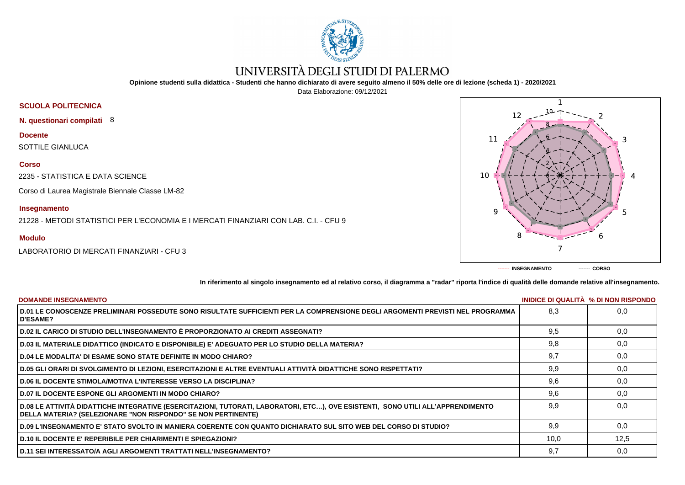

# UNIVERSITÀ DEGLI STUDI DI PALERMO

**Opinione studenti sulla didattica - Studenti che hanno dichiarato di avere seguito almeno il 50% delle ore di lezione (scheda 1) - 2020/2021**

Data Elaborazione: 09/12/2021

# **SCUOLA POLITECNICA**

**N. questionari compilati** 8

**Docente**

SOTTILE GIANLUCA

### **Corso**

2235 - STATISTICA E DATA SCIENCE

Corso di Laurea Magistrale Biennale Classe LM-82

## **Insegnamento**

21228 - METODI STATISTICI PER L'ECONOMIA E I MERCATI FINANZIARI CON LAB. C.I. - CFU 9

## **Modulo**

LABORATORIO DI MERCATI FINANZIARI - CFU 3



**In riferimento al singolo insegnamento ed al relativo corso, il diagramma a "radar" riporta l'indice di qualità delle domande relative all'insegnamento.**

| <b>DOMANDE INSEGNAMENTO</b>                                                                                                                                                                             |      | INIDICE DI QUALITA % DI NON RISPONDO |
|---------------------------------------------------------------------------------------------------------------------------------------------------------------------------------------------------------|------|--------------------------------------|
| D.01 LE CONOSCENZE PRELIMINARI POSSEDUTE SONO RISULTATE SUFFICIENTI PER LA COMPRENSIONE DEGLI ARGOMENTI PREVISTI NEL PROGRAMMA<br><b>D'ESAME?</b>                                                       | 8.3  | 0.0                                  |
| D.02 IL CARICO DI STUDIO DELL'INSEGNAMENTO È PROPORZIONATO AI CREDITI ASSEGNATI?                                                                                                                        | 9.5  | 0,0                                  |
| D.03 IL MATERIALE DIDATTICO (INDICATO E DISPONIBILE) E' ADEGUATO PER LO STUDIO DELLA MATERIA?                                                                                                           | 9,8  | 0,0                                  |
| D.04 LE MODALITA' DI ESAME SONO STATE DEFINITE IN MODO CHIARO?                                                                                                                                          | 9,7  | 0,0                                  |
| D.05 GLI ORARI DI SVOLGIMENTO DI LEZIONI, ESERCITAZIONI E ALTRE EVENTUALI ATTIVITÀ DIDATTICHE SONO RISPETTATI?                                                                                          | 9,9  | 0,0                                  |
| <b>D.06 IL DOCENTE STIMOLA/MOTIVA L'INTERESSE VERSO LA DISCIPLINA?</b>                                                                                                                                  | 9,6  | 0,0                                  |
| <b>D.07 IL DOCENTE ESPONE GLI ARGOMENTI IN MODO CHIARO?</b>                                                                                                                                             | 9,6  | 0,0                                  |
| D.08 LE ATTIVITÀ DIDATTICHE INTEGRATIVE (ESERCITAZIONI, TUTORATI, LABORATORI, ETC), OVE ESISTENTI, SONO UTILI ALL'APPRENDIMENTO<br><b>DELLA MATERIA? (SELEZIONARE "NON RISPONDO" SE NON PERTINENTE)</b> | 9.9  | 0.0                                  |
| D.09 L'INSEGNAMENTO E' STATO SVOLTO IN MANIERA COERENTE CON QUANTO DICHIARATO SUL SITO WEB DEL CORSO DI STUDIO?                                                                                         | 9.9  | 0,0                                  |
| <b>D.10 IL DOCENTE E' REPERIBILE PER CHIARIMENTI E SPIEGAZIONI?</b>                                                                                                                                     | 10,0 | 12,5                                 |
| D.11 SEI INTERESSATO/A AGLI ARGOMENTI TRATTATI NELL'INSEGNAMENTO?                                                                                                                                       | 9,7  | 0,0                                  |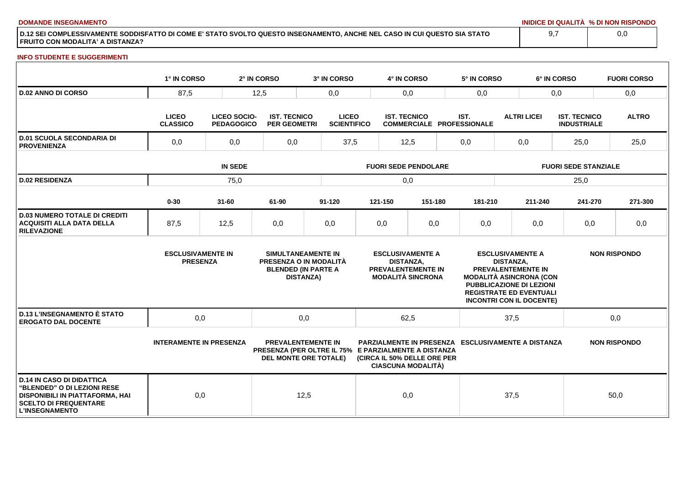**DOMANDE INSEGNAMENTO INIDICE DI QUALITÀ % DI NON RISPONDO**

**D.12 SEI COMPLESSIVAMENTE SODDISFATTO DI COME E' STATO SVOLTO QUESTO INSEGNAMENTO, ANCHE NEL CASO IN CUI QUESTO SIA STATO FRUITO CON MODALITA' A DISTANZA?**

#### **INFO STUDENTE E SUGGERIMENTI**

|                                                                                                                                                             | 1° IN CORSO                                 |                                   | 2° IN CORSO                                | 3° IN CORSO                                                                                                       |                             | 4° IN CORSO         |                                                                                  | 5° IN CORSO                                               |                  | 6° IN CORSO                                                                                                                                                                                    |                                           | <b>FUORI CORSO</b>  |  |
|-------------------------------------------------------------------------------------------------------------------------------------------------------------|---------------------------------------------|-----------------------------------|--------------------------------------------|-------------------------------------------------------------------------------------------------------------------|-----------------------------|---------------------|----------------------------------------------------------------------------------|-----------------------------------------------------------|------------------|------------------------------------------------------------------------------------------------------------------------------------------------------------------------------------------------|-------------------------------------------|---------------------|--|
| <b>D.02 ANNO DI CORSO</b>                                                                                                                                   | 87,5                                        |                                   | 12,5                                       | 0,0                                                                                                               |                             |                     | 0,0                                                                              | 0,0                                                       |                  | 0,0                                                                                                                                                                                            |                                           | 0,0                 |  |
|                                                                                                                                                             | <b>LICEO</b><br><b>CLASSICO</b>             | LICEO SOCIO-<br><b>PEDAGOGICO</b> | <b>IST. TECNICO</b><br><b>PER GEOMETRI</b> | <b>LICEO</b><br><b>SCIENTIFICO</b>                                                                                |                             | <b>IST. TECNICO</b> |                                                                                  | IST.<br><b>COMMERCIALE PROFESSIONALE</b>                  |                  | <b>ALTRI LICEI</b>                                                                                                                                                                             | <b>IST. TECNICO</b><br><b>INDUSTRIALE</b> | <b>ALTRO</b>        |  |
| <b>D.01 SCUOLA SECONDARIA DI</b><br><b>PROVENIENZA</b>                                                                                                      | 0,0                                         | 0,0                               | 0,0                                        | 37,5                                                                                                              |                             | 12,5                |                                                                                  | 0,0                                                       |                  | 0,0                                                                                                                                                                                            | 25,0                                      | 25,0                |  |
|                                                                                                                                                             | <b>IN SEDE</b>                              |                                   |                                            |                                                                                                                   | <b>FUORI SEDE PENDOLARE</b> |                     |                                                                                  |                                                           |                  | <b>FUORI SEDE STANZIALE</b>                                                                                                                                                                    |                                           |                     |  |
| <b>D.02 RESIDENZA</b>                                                                                                                                       | 75,0                                        |                                   |                                            |                                                                                                                   | 0,0                         |                     |                                                                                  |                                                           |                  | 25,0                                                                                                                                                                                           |                                           |                     |  |
|                                                                                                                                                             | $0 - 30$                                    | $31 - 60$                         | 61-90                                      | $91 - 120$                                                                                                        |                             | 121-150             | 151-180                                                                          | 181-210                                                   |                  | 211-240                                                                                                                                                                                        | 241-270                                   | 271-300             |  |
| <b>D.03 NUMERO TOTALE DI CREDITI</b><br><b>ACQUISITI ALLA DATA DELLA</b><br><b>RILEVAZIONE</b>                                                              | 87,5                                        | 12,5                              | 0,0                                        | 0,0                                                                                                               |                             | 0,0                 | 0,0                                                                              | 0,0                                                       |                  | 0,0                                                                                                                                                                                            | 0,0                                       | 0,0                 |  |
|                                                                                                                                                             | <b>ESCLUSIVAMENTE IN</b><br><b>PRESENZA</b> |                                   |                                            | SIMULTANEAMENTE IN<br>PRESENZA O IN MODALITÀ<br><b>BLENDED (IN PARTE A</b><br><b>DISTANZA)</b>                    |                             | <b>DISTANZA,</b>    | <b>ESCLUSIVAMENTE A</b><br><b>PREVALENTEMENTE IN</b><br><b>MODALITÀ SINCRONA</b> |                                                           | <b>DISTANZA.</b> | <b>ESCLUSIVAMENTE A</b><br><b>PREVALENTEMENTE IN</b><br><b>MODALITÀ ASINCRONA (CON</b><br><b>PUBBLICAZIONE DI LEZIONI</b><br><b>REGISTRATE ED EVENTUALI</b><br><b>INCONTRI CON IL DOCENTE)</b> |                                           | <b>NON RISPONDO</b> |  |
| <b>D.13 L'INSEGNAMENTO È STATO</b><br><b>EROGATO DAL DOCENTE</b>                                                                                            | 0,0                                         |                                   |                                            | 0,0                                                                                                               |                             | 62,5                |                                                                                  |                                                           | 37,5             |                                                                                                                                                                                                |                                           | 0,0                 |  |
|                                                                                                                                                             | <b>INTERAMENTE IN PRESENZA</b>              |                                   |                                            | <b>PREVALENTEMENTE IN</b><br>PRESENZA (PER OLTRE IL 75% E PARZIALMENTE A DISTANZA<br><b>DEL MONTE ORE TOTALE)</b> |                             |                     | (CIRCA IL 50% DELLE ORE PER<br><b>CIASCUNA MODALITÀ)</b>                         | <b>PARZIALMENTE IN PRESENZA ESCLUSIVAMENTE A DISTANZA</b> |                  |                                                                                                                                                                                                |                                           | <b>NON RISPONDO</b> |  |
| <b>D.14 IN CASO DI DIDATTICA</b><br>"BLENDED" O DI LEZIONI RESE<br>DISPONIBILI IN PIATTAFORMA, HAI<br><b>SCELTO DI FREQUENTARE</b><br><b>L'INSEGNAMENTO</b> | 0,0                                         |                                   |                                            | 12,5                                                                                                              |                             | 0,0                 |                                                                                  |                                                           | 37,5             |                                                                                                                                                                                                |                                           | 50,0                |  |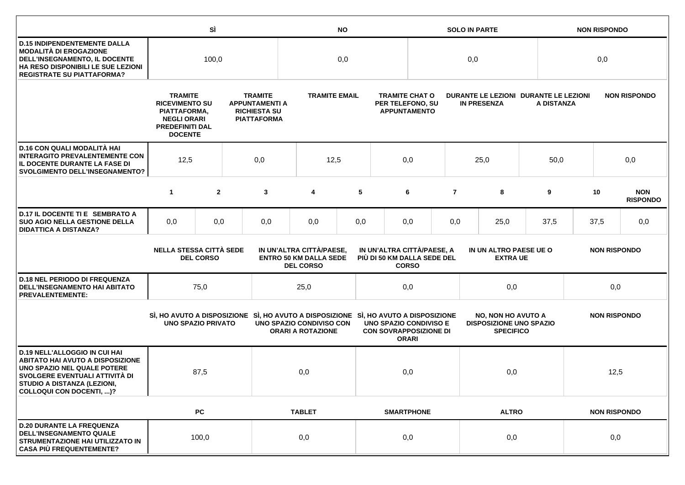|                                                                                                                                                                                                             |                                                                                                                           | SÌ             |  | <b>NO</b>                                                                                                                                  |                                                                                                                                             |              |                                                                  | <b>SOLO IN PARTE</b>              |                  |                     |                                                             | <b>NON RISPONDO</b>                                 |      |                               |  |  |                     |  |
|-------------------------------------------------------------------------------------------------------------------------------------------------------------------------------------------------------------|---------------------------------------------------------------------------------------------------------------------------|----------------|--|--------------------------------------------------------------------------------------------------------------------------------------------|---------------------------------------------------------------------------------------------------------------------------------------------|--------------|------------------------------------------------------------------|-----------------------------------|------------------|---------------------|-------------------------------------------------------------|-----------------------------------------------------|------|-------------------------------|--|--|---------------------|--|
| <b>D.15 INDIPENDENTEMENTE DALLA</b><br>MODALITÀ DI EROGAZIONE<br>DELL'INSEGNAMENTO, IL DOCENTE<br>HA RESO DISPONIBILI LE SUE LEZIONI<br><b>REGISTRATE SU PIATTAFORMA?</b>                                   | 100,0                                                                                                                     |                |  | 0,0                                                                                                                                        |                                                                                                                                             |              |                                                                  | 0,0                               |                  |                     | 0,0                                                         |                                                     |      |                               |  |  |                     |  |
|                                                                                                                                                                                                             | <b>TRAMITE</b><br><b>RICEVIMENTO SU</b><br>PIATTAFORMA,<br><b>NEGLI ORARI</b><br><b>PREDEFINITI DAL</b><br><b>DOCENTE</b> |                |  | <b>TRAMITE</b><br><b>TRAMITE EMAIL</b><br><b>APPUNTAMENTI A</b><br><b>RICHIESTA SU</b><br><b>PIATTAFORMA</b>                               |                                                                                                                                             |              | <b>TRAMITE CHAT O</b><br>PER TELEFONO, SU<br><b>APPUNTAMENTO</b> |                                   |                  | <b>IN PRESENZA</b>  |                                                             | DURANTE LE LEZIONI DURANTE LE LEZIONI<br>A DISTANZA |      | <b>NON RISPONDO</b>           |  |  |                     |  |
| D.16 CON QUALI MODALITÀ HAI<br><b>INTERAGITO PREVALENTEMENTE CON</b><br>IL DOCENTE DURANTE LA FASE DI<br><b>SVOLGIMENTO DELL'INSEGNAMENTO?</b>                                                              | 12,5<br>0,0                                                                                                               |                |  | 12,5                                                                                                                                       |                                                                                                                                             | 0,0          |                                                                  |                                   | 25,0             | 50,0                |                                                             | 0,0                                                 |      |                               |  |  |                     |  |
|                                                                                                                                                                                                             | $\mathbf{1}$                                                                                                              | $\overline{2}$ |  | 3                                                                                                                                          | 4                                                                                                                                           | 5            |                                                                  | 6                                 | $\overline{7}$   | 8                   | 9                                                           |                                                     | 10   | <b>NON</b><br><b>RISPONDO</b> |  |  |                     |  |
| D.17 IL DOCENTE TI E SEMBRATO A<br><b>SUO AGIO NELLA GESTIONE DELLA</b><br><b>DIDATTICA A DISTANZA?</b>                                                                                                     | 0,0                                                                                                                       | 0,0            |  | 0,0                                                                                                                                        | 0,0                                                                                                                                         | 0,0          |                                                                  | 0,0                               | 0,0              | 25,0                | 37,5                                                        |                                                     | 37,5 | 0,0                           |  |  |                     |  |
|                                                                                                                                                                                                             | <b>NELLA STESSA CITTÀ SEDE</b><br><b>DEL CORSO</b>                                                                        |                |  | IN UN'ALTRA CITTÀ/PAESE,<br>IN UN'ALTRA CITTÀ/PAESE, A<br><b>ENTRO 50 KM DALLA SEDE</b><br>PIÙ DI 50 KM DALLA SEDE DEL<br><b>DEL CORSO</b> |                                                                                                                                             | <b>CORSO</b> | IN UN ALTRO PAESE UE O<br><b>EXTRA UE</b>                        |                                   |                  | <b>NON RISPONDO</b> |                                                             |                                                     |      |                               |  |  |                     |  |
| <b>D.18 NEL PERIODO DI FREQUENZA</b><br>DELL'INSEGNAMENTO HAI ABITATO<br><b>PREVALENTEMENTE:</b>                                                                                                            |                                                                                                                           | 75,0           |  |                                                                                                                                            | 25,0                                                                                                                                        |              |                                                                  | 0,0                               |                  | 0,0                 |                                                             |                                                     | 0,0  |                               |  |  |                     |  |
|                                                                                                                                                                                                             | <b>UNO SPAZIO PRIVATO</b>                                                                                                 |                |  |                                                                                                                                            | SI, HO AVUTO A DISPOSIZIONE SI, HO AVUTO A DISPOSIZIONE SI, HO AVUTO A DISPOSIZIONE<br>UNO SPAZIO CONDIVISO CON<br><b>ORARI A ROTAZIONE</b> |              | <b>UNO SPAZIO CONDIVISO E</b><br><b>CON SOVRAPPOSIZIONE DI</b>   | <b>ORARI</b>                      | <b>SPECIFICO</b> |                     | <b>NO, NON HO AVUTO A</b><br><b>DISPOSIZIONE UNO SPAZIO</b> |                                                     |      |                               |  |  | <b>NON RISPONDO</b> |  |
| <b>D.19 NELL'ALLOGGIO IN CUI HAI</b><br><b>ABITATO HAI AVUTO A DISPOSIZIONE</b><br>UNO SPAZIO NEL QUALE POTERE<br>SVOLGERE EVENTUALI ATTIVITÀ DI<br>STUDIO A DISTANZA (LEZIONI,<br>COLLOQUI CON DOCENTI, )? |                                                                                                                           | 87,5           |  |                                                                                                                                            | 0,0                                                                                                                                         |              |                                                                  | 0,0                               |                  | 0,0                 |                                                             |                                                     | 12,5 |                               |  |  |                     |  |
|                                                                                                                                                                                                             |                                                                                                                           | PC             |  |                                                                                                                                            | <b>TABLET</b>                                                                                                                               |              |                                                                  | <b>SMARTPHONE</b><br><b>ALTRO</b> |                  |                     |                                                             | <b>NON RISPONDO</b>                                 |      |                               |  |  |                     |  |
| <b>D.20 DURANTE LA FREQUENZA</b><br><b>DELL'INSEGNAMENTO QUALE</b><br>STRUMENTAZIONE HAI UTILIZZATO IN<br><b>CASA PIÙ FREQUENTEMENTE?</b>                                                                   | 100,0                                                                                                                     |                |  | 0,0                                                                                                                                        |                                                                                                                                             | 0,0          |                                                                  |                                   | 0,0              |                     | 0,0                                                         |                                                     |      |                               |  |  |                     |  |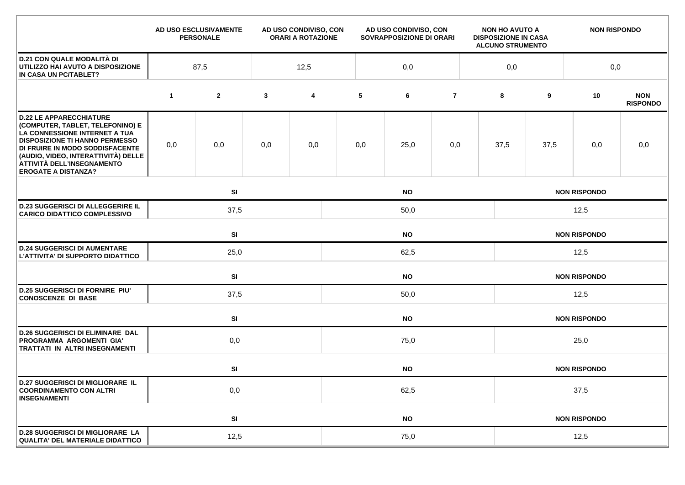|                                                                                                                                                                                                                                                                                    |             | AD USO ESCLUSIVAMENTE<br><b>PERSONALE</b> |              | AD USO CONDIVISO, CON<br><b>ORARI A ROTAZIONE</b> |           | AD USO CONDIVISO, CON<br>SOVRAPPOSIZIONE DI ORARI |                |  | <b>NON HO AVUTO A</b><br><b>DISPOSIZIONE IN CASA</b><br><b>ALCUNO STRUMENTO</b> |                     | <b>NON RISPONDO</b> |                               |  |  |
|------------------------------------------------------------------------------------------------------------------------------------------------------------------------------------------------------------------------------------------------------------------------------------|-------------|-------------------------------------------|--------------|---------------------------------------------------|-----------|---------------------------------------------------|----------------|--|---------------------------------------------------------------------------------|---------------------|---------------------|-------------------------------|--|--|
| <b>D.21 CON QUALE MODALITÀ DI</b><br>UTILIZZO HAI AVUTO A DISPOSIZIONE<br>IN CASA UN PC/TABLET?                                                                                                                                                                                    | 87,5        |                                           |              | 12,5                                              |           | 0,0                                               |                |  | 0,0                                                                             |                     | 0,0                 |                               |  |  |
|                                                                                                                                                                                                                                                                                    | $\mathbf 1$ | $\mathbf{2}$                              | $\mathbf{3}$ | 4                                                 | 5         | 6                                                 | $\overline{7}$ |  | 8                                                                               | 9                   | 10                  | <b>NON</b><br><b>RISPONDO</b> |  |  |
| <b>D.22 LE APPARECCHIATURE</b><br>(COMPUTER, TABLET, TELEFONINO) E<br>LA CONNESSIONE INTERNET A TUA<br><b>DISPOSIZIONE TI HANNO PERMESSO</b><br>DI FRUIRE IN MODO SODDISFACENTE<br>(AUDIO, VIDEO, INTERATTIVITÀ) DELLE<br>ATTIVITÀ DELL'INSEGNAMENTO<br><b>EROGATE A DISTANZA?</b> | 0,0         | 0,0                                       | 0,0          | 0,0                                               | 0,0       | 25,0                                              | 0,0            |  | 37,5                                                                            | 37,5                | 0,0                 | 0,0                           |  |  |
|                                                                                                                                                                                                                                                                                    |             | SI<br><b>NO</b>                           |              |                                                   |           |                                                   |                |  | <b>NON RISPONDO</b>                                                             |                     |                     |                               |  |  |
| <b>D.23 SUGGERISCI DI ALLEGGERIRE IL</b><br><b>CARICO DIDATTICO COMPLESSIVO</b>                                                                                                                                                                                                    |             | 37,5                                      |              |                                                   | 50,0      |                                                   |                |  |                                                                                 | 12,5                |                     |                               |  |  |
|                                                                                                                                                                                                                                                                                    |             | SI<br><b>NO</b>                           |              |                                                   |           |                                                   |                |  | <b>NON RISPONDO</b>                                                             |                     |                     |                               |  |  |
| <b>D.24 SUGGERISCI DI AUMENTARE</b><br>L'ATTIVITA' DI SUPPORTO DIDATTICO                                                                                                                                                                                                           |             | 25,0                                      |              |                                                   | 62,5      |                                                   |                |  |                                                                                 | 12,5                |                     |                               |  |  |
|                                                                                                                                                                                                                                                                                    |             | SI                                        |              | <b>NO</b>                                         |           |                                                   |                |  |                                                                                 | <b>NON RISPONDO</b> |                     |                               |  |  |
| <b>D.25 SUGGERISCI DI FORNIRE PIU'</b><br><b>CONOSCENZE DI BASE</b>                                                                                                                                                                                                                |             | 37,5                                      |              |                                                   | 50,0      |                                                   |                |  |                                                                                 | 12,5                |                     |                               |  |  |
|                                                                                                                                                                                                                                                                                    |             | SI                                        | <b>NO</b>    |                                                   |           |                                                   |                |  | <b>NON RISPONDO</b>                                                             |                     |                     |                               |  |  |
| <b>D.26 SUGGERISCI DI ELIMINARE DAL</b><br>PROGRAMMA ARGOMENTI GIA'<br><b>TRATTATI IN ALTRI INSEGNAMENTI</b>                                                                                                                                                                       |             | 0,0                                       |              |                                                   | 75,0      |                                                   |                |  |                                                                                 | 25,0                |                     |                               |  |  |
|                                                                                                                                                                                                                                                                                    |             | SI                                        |              |                                                   |           | <b>NO</b>                                         |                |  |                                                                                 |                     | <b>NON RISPONDO</b> |                               |  |  |
| <b>D.27 SUGGERISCI DI MIGLIORARE IL</b><br><b>COORDINAMENTO CON ALTRI</b><br><b>INSEGNAMENTI</b>                                                                                                                                                                                   | 0,0         |                                           |              |                                                   | 62,5      |                                                   |                |  |                                                                                 | 37,5                |                     |                               |  |  |
|                                                                                                                                                                                                                                                                                    |             | SI                                        |              |                                                   | <b>NO</b> |                                                   |                |  |                                                                                 | <b>NON RISPONDO</b> |                     |                               |  |  |
| <b>D.28 SUGGERISCI DI MIGLIORARE LA</b><br>QUALITA' DEL MATERIALE DIDATTICO                                                                                                                                                                                                        |             | 12,5                                      |              |                                                   | 75,0      |                                                   |                |  |                                                                                 | 12,5                |                     |                               |  |  |